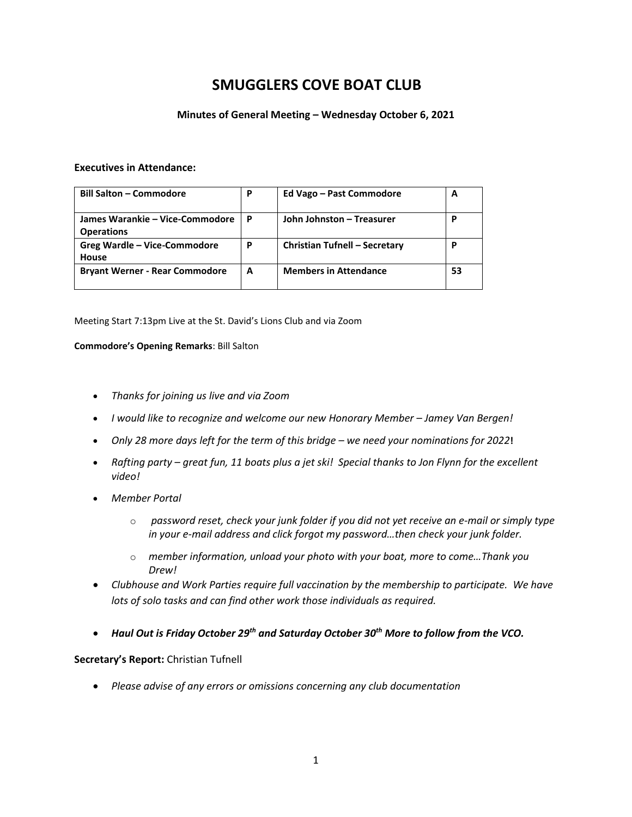# **SMUGGLERS COVE BOAT CLUB**

### **Minutes of General Meeting – Wednesday October 6, 2021**

#### **Executives in Attendance:**

| <b>Bill Salton - Commodore</b>                       | P | Ed Vago - Past Commodore      | A  |
|------------------------------------------------------|---|-------------------------------|----|
| James Warankie – Vice-Commodore<br><b>Operations</b> | P | John Johnston - Treasurer     | Р  |
| Greg Wardle - Vice-Commodore<br>House                | P | Christian Tufnell - Secretary | P  |
| <b>Bryant Werner - Rear Commodore</b>                | A | <b>Members in Attendance</b>  | 53 |

Meeting Start 7:13pm Live at the St. David's Lions Club and via Zoom

#### **Commodore's Opening Remarks**: Bill Salton

- *Thanks for joining us live and via Zoom*
- *I would like to recognize and welcome our new Honorary Member – Jamey Van Bergen!*
- *Only 28 more days left for the term of this bridge – we need your nominations for 2022***!**
- Rafting party great fun, 11 boats plus a jet ski! Special thanks to Jon Flynn for the excellent *video!*
- *Member Portal*
	- o *password reset, check your junk folder if you did not yet receive an e-mail or simply type in your e-mail address and click forgot my password…then check your junk folder.*
	- o *member information, unload your photo with your boat, more to come…Thank you Drew!*
- *Clubhouse and Work Parties require full vaccination by the membership to participate. We have lots of solo tasks and can find other work those individuals as required.*
- *Haul Out is Friday October 29th and Saturday October 30th More to follow from the VCO.*

#### **Secretary's Report:** Christian Tufnell

• *Please advise of any errors or omissions concerning any club documentation*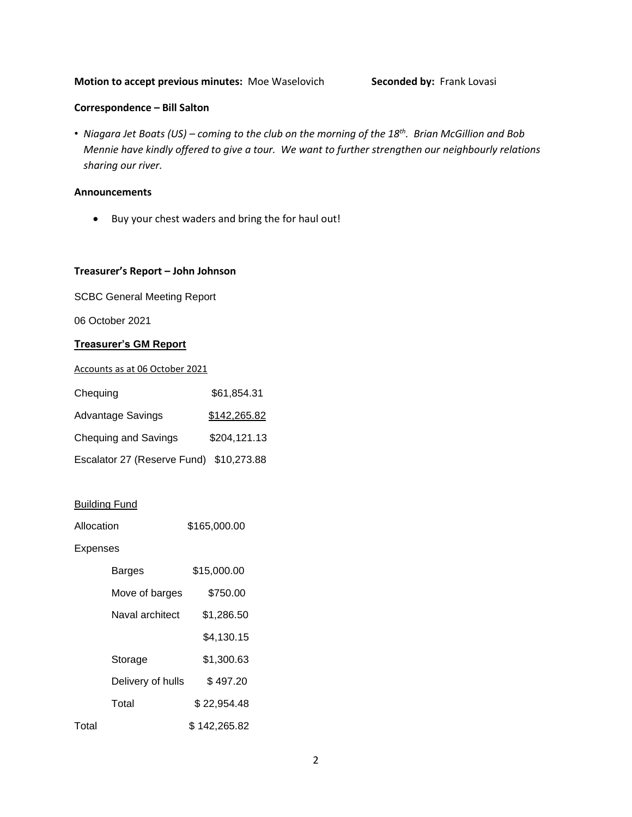#### **Motion to accept previous minutes: Moe Waselovich <b>Seconded by:** Frank Lovasi

### **Correspondence – Bill Salton**

• *Niagara Jet Boats (US) – coming to the club on the morning of the 18th. Brian McGillion and Bob Mennie have kindly offered to give a tour. We want to further strengthen our neighbourly relations sharing our river.*

#### **Announcements**

• Buy your chest waders and bring the for haul out!

#### **Treasurer's Report – John Johnson**

SCBC General Meeting Report

06 October 2021

#### **Treasurer's GM Report**

Accounts as at 06 October 2021

| Chequing                                | \$61,854.31  |
|-----------------------------------------|--------------|
| <b>Advantage Savings</b>                | \$142,265.82 |
| <b>Chequing and Savings</b>             | \$204,121.13 |
| Escalator 27 (Reserve Fund) \$10,273.88 |              |

### Building Fund

| Allocation | \$165,000.00 |
|------------|--------------|
|            |              |

#### Expenses

|       | Barges            | \$15,000.00  |
|-------|-------------------|--------------|
|       | Move of barges    | \$750.00     |
|       | Naval architect   | \$1,286.50   |
|       |                   | \$4,130.15   |
|       | Storage           | \$1,300.63   |
|       | Delivery of hulls | \$497.20     |
|       | Total             | \$22,954.48  |
| Total |                   | \$142,265.82 |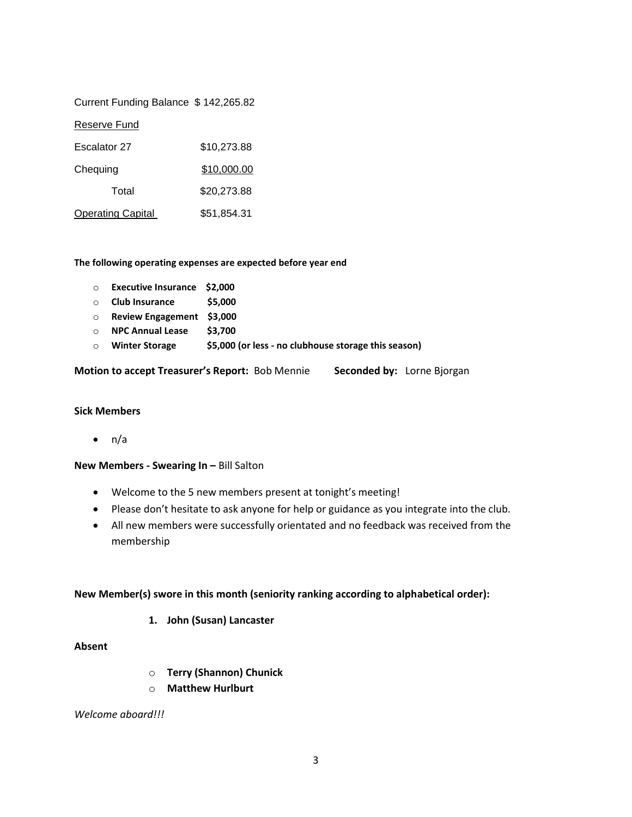#### Current Funding Balance \$ 142,265.82

#### Reserve Fund

| Escalator 27             | \$10,273.88 |
|--------------------------|-------------|
| Chequing                 | \$10,000.00 |
| Total                    | \$20,273.88 |
| <b>Operating Capital</b> | \$51,854.31 |

#### **The following operating expenses are expected before year end**

- o **Executive Insurance \$2,000**
- o **Club Insurance \$5,000**
- o **Review Engagement \$3,000**
- o **NPC Annual Lease \$3,700**
- o **Winter Storage \$5,000 (or less - no clubhouse storage this season)**

**Motion to accept Treasurer's Report:** Bob Mennie **Seconded by:** Lorne Bjorgan

#### **Sick Members**

 $\bullet$  n/a

#### **New Members - Swearing In –** Bill Salton

- Welcome to the 5 new members present at tonight's meeting!
- Please don't hesitate to ask anyone for help or guidance as you integrate into the club.
- All new members were successfully orientated and no feedback was received from the membership

#### **New Member(s) swore in this month (seniority ranking according to alphabetical order):**

**1. John (Susan) Lancaster**

### **Absent**

- o **Terry (Shannon) Chunick**
- o **Matthew Hurlburt**

*Welcome aboard!!!*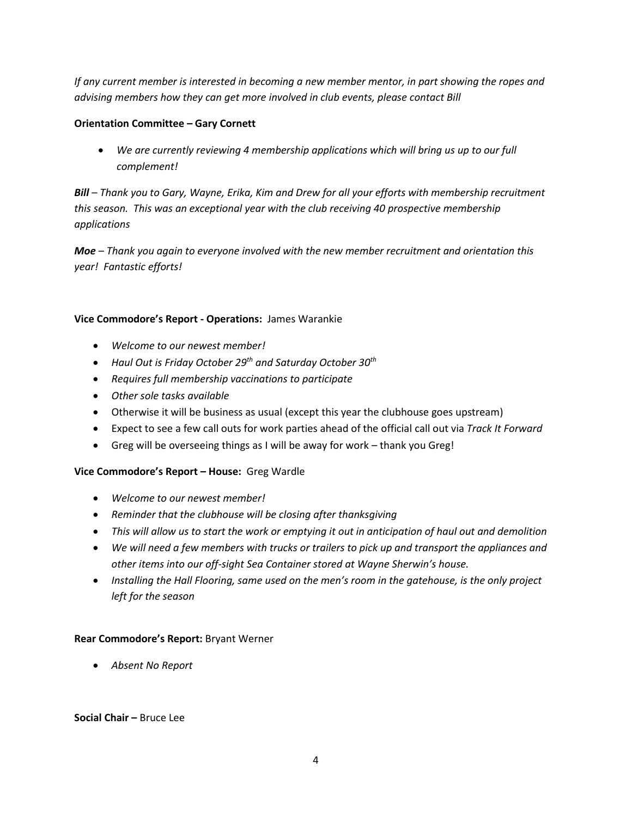*If any current member is interested in becoming a new member mentor, in part showing the ropes and advising members how they can get more involved in club events, please contact Bill* 

# **Orientation Committee – Gary Cornett**

• *We are currently reviewing 4 membership applications which will bring us up to our full complement!*

*Bill – Thank you to Gary, Wayne, Erika, Kim and Drew for all your efforts with membership recruitment this season. This was an exceptional year with the club receiving 40 prospective membership applications*

*Moe – Thank you again to everyone involved with the new member recruitment and orientation this year! Fantastic efforts!*

# **Vice Commodore's Report - Operations:** James Warankie

- *Welcome to our newest member!*
- *Haul Out is Friday October 29th and Saturday October 30th*
- *Requires full membership vaccinations to participate*
- *Other sole tasks available*
- Otherwise it will be business as usual (except this year the clubhouse goes upstream)
- Expect to see a few call outs for work parties ahead of the official call out via *Track It Forward*
- Greg will be overseeing things as I will be away for work thank you Greg!

# **Vice Commodore's Report – House:** Greg Wardle

- *Welcome to our newest member!*
- *Reminder that the clubhouse will be closing after thanksgiving*
- *This will allow us to start the work or emptying it out in anticipation of haul out and demolition*
- *We will need a few members with trucks or trailers to pick up and transport the appliances and other items into our off-sight Sea Container stored at Wayne Sherwin's house.*
- *Installing the Hall Flooring, same used on the men's room in the gatehouse, is the only project left for the season*

# **Rear Commodore's Report:** Bryant Werner

• *Absent No Report*

### **Social Chair –** Bruce Lee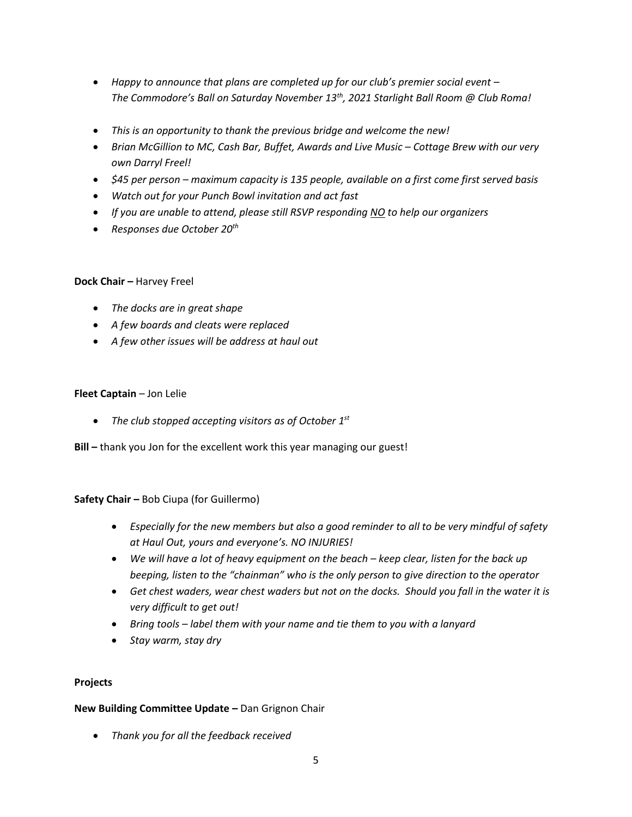- *Happy to announce that plans are completed up for our club's premier social event – The Commodore's Ball on Saturday November 13th, 2021 Starlight Ball Room @ Club Roma!*
- *This is an opportunity to thank the previous bridge and welcome the new!*
- *Brian McGillion to MC, Cash Bar, Buffet, Awards and Live Music – Cottage Brew with our very own Darryl Freel!*
- *\$45 per person – maximum capacity is 135 people, available on a first come first served basis*
- *Watch out for your Punch Bowl invitation and act fast*
- *If you are unable to attend, please still RSVP responding NO to help our organizers*
- *Responses due October 20th*

# **Dock Chair –** Harvey Freel

- *The docks are in great shape*
- *A few boards and cleats were replaced*
- *A few other issues will be address at haul out*

# **Fleet Captain** – Jon Lelie

• *The club stopped accepting visitors as of October 1st*

**Bill –** thank you Jon for the excellent work this year managing our guest!

# **Safety Chair –** Bob Ciupa (for Guillermo)

- *Especially for the new members but also a good reminder to all to be very mindful of safety at Haul Out, yours and everyone's. NO INJURIES!*
- *We will have a lot of heavy equipment on the beach – keep clear, listen for the back up beeping, listen to the "chainman" who is the only person to give direction to the operator*
- *Get chest waders, wear chest waders but not on the docks. Should you fall in the water it is very difficult to get out!*
- *Bring tools – label them with your name and tie them to you with a lanyard*
- *Stay warm, stay dry*

# **Projects**

# **New Building Committee Update –** Dan Grignon Chair

• *Thank you for all the feedback received*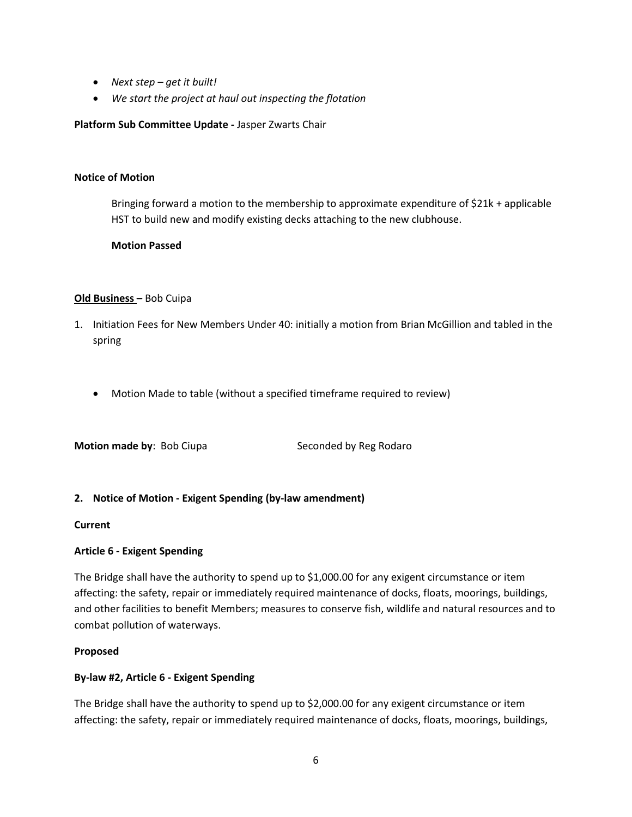- *Next step – get it built!*
- *We start the project at haul out inspecting the flotation*

### **Platform Sub Committee Update -** Jasper Zwarts Chair

#### **Notice of Motion**

Bringing forward a motion to the membership to approximate expenditure of \$21k + applicable HST to build new and modify existing decks attaching to the new clubhouse.

### **Motion Passed**

### **Old Business –** Bob Cuipa

- 1. Initiation Fees for New Members Under 40: initially a motion from Brian McGillion and tabled in the spring
	- Motion Made to table (without a specified timeframe required to review)

**Motion made by:** Bob Ciupa Seconded by Reg Rodaro

### **2. Notice of Motion - Exigent Spending (by-law amendment)**

### **Current**

### **Article 6 - Exigent Spending**

The Bridge shall have the authority to spend up to \$1,000.00 for any exigent circumstance or item affecting: the safety, repair or immediately required maintenance of docks, floats, moorings, buildings, and other facilities to benefit Members; measures to conserve fish, wildlife and natural resources and to combat pollution of waterways.

### **Proposed**

### **By-law #2, Article 6 - Exigent Spending**

The Bridge shall have the authority to spend up to \$2,000.00 for any exigent circumstance or item affecting: the safety, repair or immediately required maintenance of docks, floats, moorings, buildings,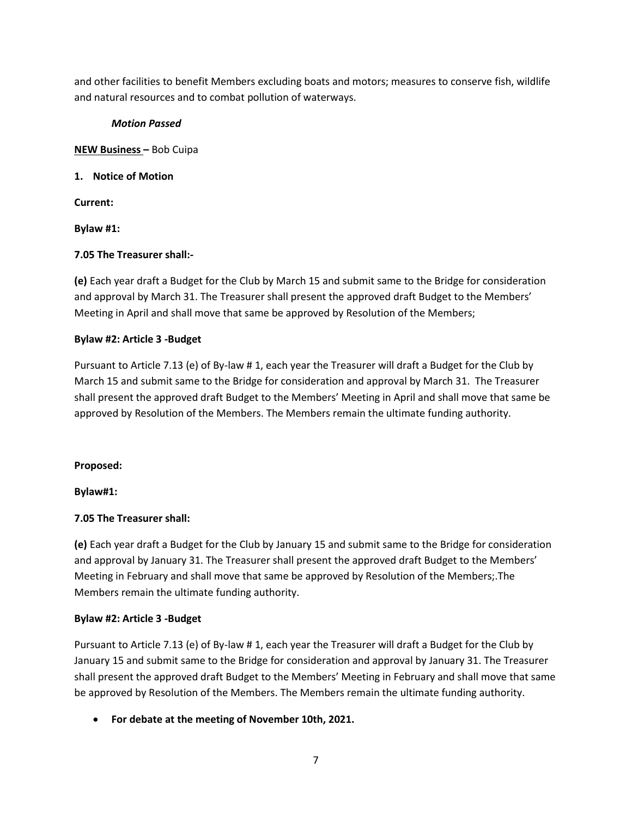and other facilities to benefit Members excluding boats and motors; measures to conserve fish, wildlife and natural resources and to combat pollution of waterways.

# *Motion Passed*

**NEW Business –** Bob Cuipa

# **1. Notice of Motion**

**Current:**

**Bylaw #1:**

# **7.05 The Treasurer shall:-**

**(e)** Each year draft a Budget for the Club by March 15 and submit same to the Bridge for consideration and approval by March 31. The Treasurer shall present the approved draft Budget to the Members' Meeting in April and shall move that same be approved by Resolution of the Members;

# **Bylaw #2: Article 3 -Budget**

Pursuant to Article 7.13 (e) of By-law # 1, each year the Treasurer will draft a Budget for the Club by March 15 and submit same to the Bridge for consideration and approval by March 31. The Treasurer shall present the approved draft Budget to the Members' Meeting in April and shall move that same be approved by Resolution of the Members. The Members remain the ultimate funding authority.

# **Proposed:**

**Bylaw#1:**

# **7.05 The Treasurer shall:**

**(e)** Each year draft a Budget for the Club by January 15 and submit same to the Bridge for consideration and approval by January 31. The Treasurer shall present the approved draft Budget to the Members' Meeting in February and shall move that same be approved by Resolution of the Members;.The Members remain the ultimate funding authority.

# **Bylaw #2: Article 3 -Budget**

Pursuant to Article 7.13 (e) of By-law # 1, each year the Treasurer will draft a Budget for the Club by January 15 and submit same to the Bridge for consideration and approval by January 31. The Treasurer shall present the approved draft Budget to the Members' Meeting in February and shall move that same be approved by Resolution of the Members. The Members remain the ultimate funding authority.

• **For debate at the meeting of November 10th, 2021.**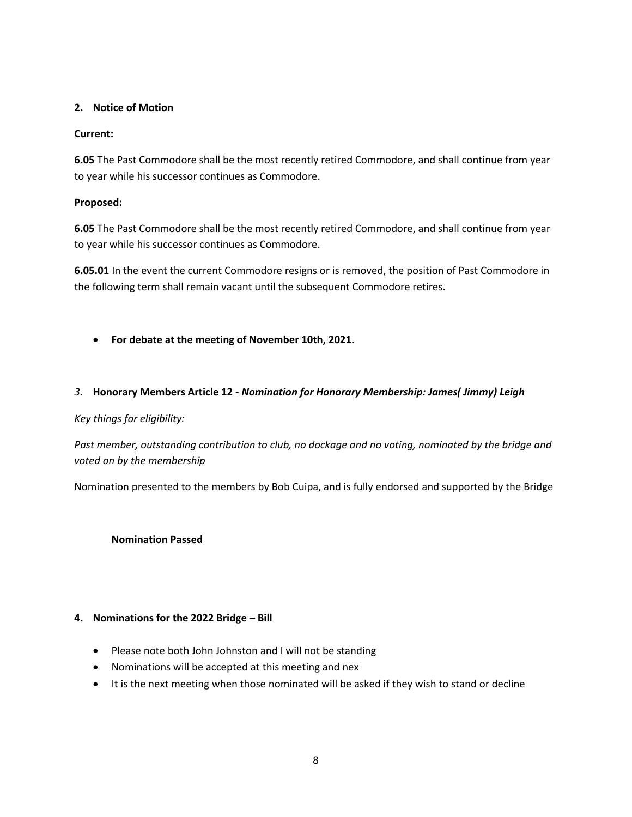# **2. Notice of Motion**

# **Current:**

**6.05** The Past Commodore shall be the most recently retired Commodore, and shall continue from year to year while his successor continues as Commodore.

# **Proposed:**

**6.05** The Past Commodore shall be the most recently retired Commodore, and shall continue from year to year while his successor continues as Commodore.

**6.05.01** In the event the current Commodore resigns or is removed, the position of Past Commodore in the following term shall remain vacant until the subsequent Commodore retires.

• **For debate at the meeting of November 10th, 2021.**

# *3.* **Honorary Members Article 12 -** *Nomination for Honorary Membership: James( Jimmy) Leigh*

### *Key things for eligibility:*

*Past member, outstanding contribution to club, no dockage and no voting, nominated by the bridge and voted on by the membership*

Nomination presented to the members by Bob Cuipa, and is fully endorsed and supported by the Bridge

**Nomination Passed**

### **4. Nominations for the 2022 Bridge – Bill**

- Please note both John Johnston and I will not be standing
- Nominations will be accepted at this meeting and nex
- It is the next meeting when those nominated will be asked if they wish to stand or decline